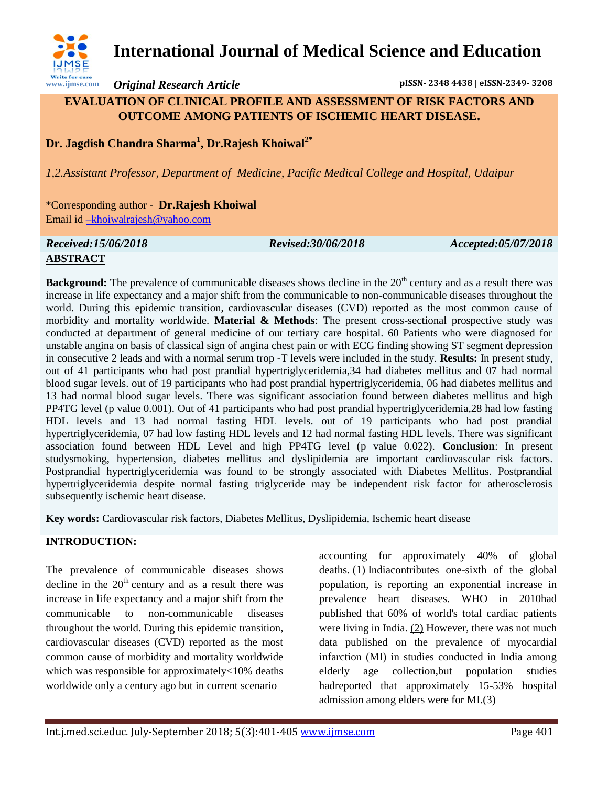

# **International Journal of Medical Science and Education**

*Original Research Article* **pISSN- 2348 4438 | eISSN-2349- 3208**

## **EVALUATION OF CLINICAL PROFILE AND ASSESSMENT OF RISK FACTORS AND OUTCOME AMONG PATIENTS OF ISCHEMIC HEART DISEASE.**

**Dr. Jagdish Chandra Sharma<sup>1</sup> , Dr.Rajesh Khoiwal2\***

*1,2.Assistant Professor, Department of Medicine, Pacific Medical College and Hospital, Udaipur* 

\*Corresponding author - **Dr.Rajesh Khoiwal** Email id [–khoiwalrajesh@yahoo.com](mailto:–khoiwalrajesh@yahoo.com)

#### *Received:15/06/2018 Revised:30/06/2018 Accepted:05/07/2018* **ABSTRACT**

**Background:** The prevalence of communicable diseases shows decline in the 20<sup>th</sup> century and as a result there was increase in life expectancy and a major shift from the communicable to non-communicable diseases throughout the world. During this epidemic transition, cardiovascular diseases (CVD) reported as the most common cause of morbidity and mortality worldwide. **Material & Methods**: The present cross-sectional prospective study was conducted at department of general medicine of our tertiary care hospital. 60 Patients who were diagnosed for unstable angina on basis of classical sign of angina chest pain or with ECG finding showing ST segment depression in consecutive 2 leads and with a normal serum trop -T levels were included in the study. **Results:** In present study, out of 41 participants who had post prandial hypertriglyceridemia,34 had diabetes mellitus and 07 had normal blood sugar levels. out of 19 participants who had post prandial hypertriglyceridemia, 06 had diabetes mellitus and 13 had normal blood sugar levels. There was significant association found between diabetes mellitus and high PP4TG level (p value 0.001). Out of 41 participants who had post prandial hypertriglyceridemia,28 had low fasting HDL levels and 13 had normal fasting HDL levels. out of 19 participants who had post prandial hypertriglyceridemia, 07 had low fasting HDL levels and 12 had normal fasting HDL levels. There was significant association found between HDL Level and high PP4TG level (p value 0.022). **Conclusion**: In present studysmoking, hypertension, diabetes mellitus and dyslipidemia are important cardiovascular risk factors. Postprandial hypertriglyceridemia was found to be strongly associated with Diabetes Mellitus. Postprandial hypertriglyceridemia despite normal fasting triglyceride may be independent risk factor for atherosclerosis subsequently ischemic heart disease.

**Key words:** Cardiovascular risk factors, Diabetes Mellitus, Dyslipidemia, Ischemic heart disease

# **INTRODUCTION:**

The prevalence of communicable diseases shows decline in the  $20<sup>th</sup>$  century and as a result there was increase in life expectancy and a major shift from the communicable to non-communicable diseases throughout the world. During this epidemic transition, cardiovascular diseases (CVD) reported as the most common cause of morbidity and mortality worldwide which was responsible for approximately<10% deaths worldwide only a century ago but in current scenario

accounting for approximately 40% of global deaths. [\(1\)](http://www.heartindia.net/article.asp?issn=2321-449x;year=2016;volume=4;issue=3;spage=96;epage=99;aulast=Sharma#ref1) Indiacontributes one-sixth of the global population, is reporting an exponential increase in prevalence heart diseases. WHO in 2010had published that 60% of world's total cardiac patients were living in India. [\(2\)](http://www.heartindia.net/article.asp?issn=2321-449x;year=2016;volume=4;issue=3;spage=96;epage=99;aulast=Sharma#ref2) However, there was not much data published on the prevalence of myocardial infarction (MI) in studies conducted in India among elderly age collection,but population studies hadreported that approximately 15-53% hospital admission among elders were for MI[.\(3\)](http://www.heartindia.net/article.asp?issn=2321-449x;year=2016;volume=4;issue=3;spage=96;epage=99;aulast=Sharma#ref3)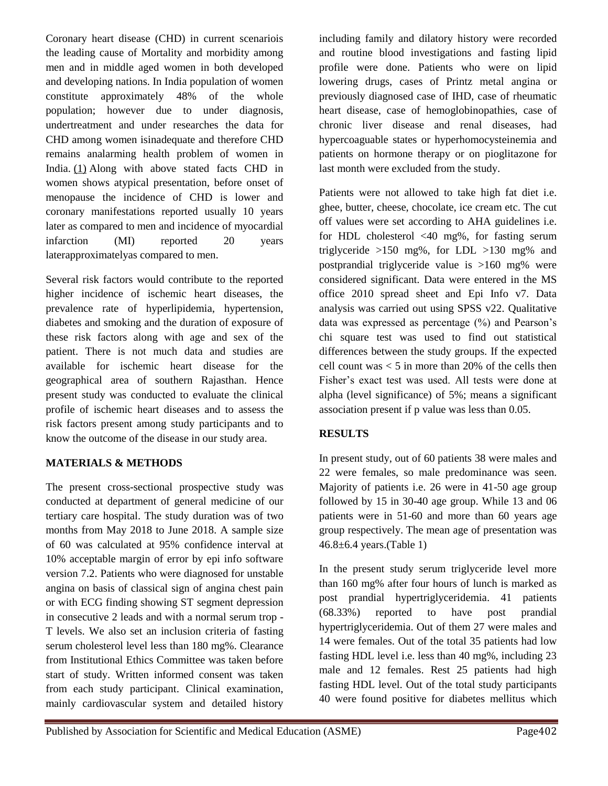Coronary heart disease (CHD) in current scenariois the leading cause of Mortality and morbidity among men and in middle aged women in both developed and developing nations. In India population of women constitute approximately 48% of the whole population; however due to under diagnosis, undertreatment and under researches the data for CHD among women isinadequate and therefore CHD remains analarming health problem of women in India. [\(1\)](http://www.heartindia.net/article.asp?issn=2321-449x;year=2013;volume=1;issue=3;spage=73;epage=77;aulast=Sahni#ref1) Along with above stated facts CHD in women shows atypical presentation, before onset of menopause the incidence of CHD is lower and coronary manifestations reported usually 10 years later as compared to men and incidence of myocardial infarction (MI) reported 20 years laterapproximatelyas compared to men.

Several risk factors would contribute to the reported higher incidence of ischemic heart diseases, the prevalence rate of hyperlipidemia, hypertension, diabetes and smoking and the duration of exposure of these risk factors along with age and sex of the patient. There is not much data and studies are available for ischemic heart disease for the geographical area of southern Rajasthan. Hence present study was conducted to evaluate the clinical profile of ischemic heart diseases and to assess the risk factors present among study participants and to know the outcome of the disease in our study area.

## **MATERIALS & METHODS**

The present cross-sectional prospective study was conducted at department of general medicine of our tertiary care hospital. The study duration was of two months from May 2018 to June 2018. A sample size of 60 was calculated at 95% confidence interval at 10% acceptable margin of error by epi info software version 7.2. Patients who were diagnosed for unstable angina on basis of classical sign of angina chest pain or with ECG finding showing ST segment depression in consecutive 2 leads and with a normal serum trop - T levels. We also set an inclusion criteria of fasting serum cholesterol level less than 180 mg%. Clearance from Institutional Ethics Committee was taken before start of study. Written informed consent was taken from each study participant. Clinical examination, mainly cardiovascular system and detailed history

including family and dilatory history were recorded and routine blood investigations and fasting lipid profile were done. Patients who were on lipid lowering drugs, cases of Printz metal angina or previously diagnosed case of IHD, case of rheumatic heart disease, case of hemoglobinopathies, case of chronic liver disease and renal diseases, had hypercoaguable states or hyperhomocysteinemia and patients on hormone therapy or on pioglitazone for last month were excluded from the study.

Patients were not allowed to take high fat diet i.e. ghee, butter, cheese, chocolate, ice cream etc. The cut off values were set according to AHA guidelines i.e. for HDL cholesterol <40 mg%, for fasting serum triglyceride >150 mg%, for LDL >130 mg% and postprandial triglyceride value is >160 mg% were considered significant. Data were entered in the MS office 2010 spread sheet and Epi Info v7. Data analysis was carried out using SPSS v22. Qualitative data was expressed as percentage (%) and Pearson's chi square test was used to find out statistical differences between the study groups. If the expected cell count was  $< 5$  in more than 20% of the cells then Fisher's exact test was used. All tests were done at alpha (level significance) of 5%; means a significant association present if p value was less than 0.05.

# **RESULTS**

In present study, out of 60 patients 38 were males and 22 were females, so male predominance was seen. Majority of patients i.e. 26 were in 41-50 age group followed by 15 in 30-40 age group. While 13 and 06 patients were in 51-60 and more than 60 years age group respectively. The mean age of presentation was 46.8±6.4 years.(Table 1)

In the present study serum triglyceride level more than 160 mg% after four hours of lunch is marked as post prandial hypertriglyceridemia. 41 patients (68.33%) reported to have post prandial hypertriglyceridemia. Out of them 27 were males and 14 were females. Out of the total 35 patients had low fasting HDL level i.e. less than 40 mg%, including 23 male and 12 females. Rest 25 patients had high fasting HDL level. Out of the total study participants 40 were found positive for diabetes mellitus which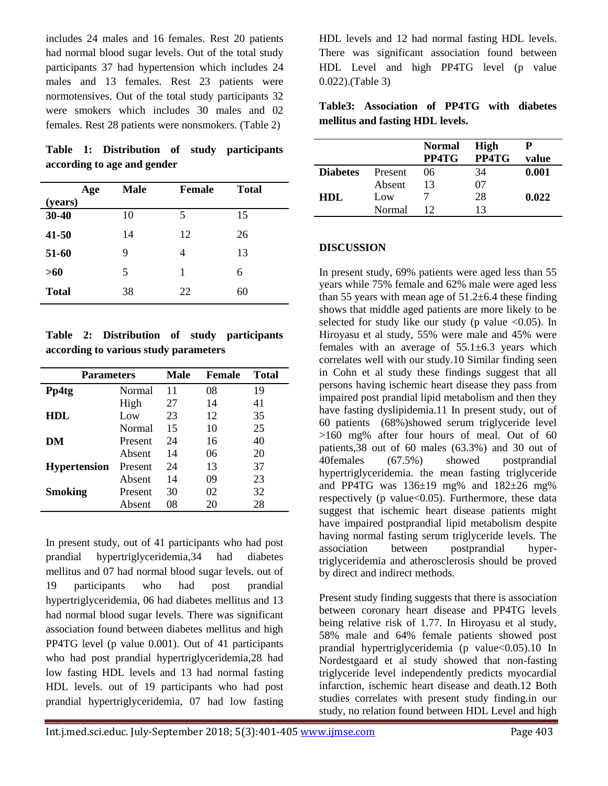includes 24 males and 16 females. Rest 20 patients had normal blood sugar levels. Out of the total study participants 37 had hypertension which includes 24 males and 13 females. Rest 23 patients were normotensives. Out of the total study participants 32 were smokers which includes 30 males and 02 females. Rest 28 patients were nonsmokers. (Table 2)

**Table 1: Distribution of study participants according to age and gender**

|              | Male<br>Age | <b>Female</b> | <b>Total</b> |
|--------------|-------------|---------------|--------------|
| (years)      |             |               |              |
| $30 - 40$    | 10          | 5             | 15           |
| $41 - 50$    | 14          | 12            | 26           |
| 51-60        | 9           | 4             | 13           |
| >60          | 5           | 1             | 6            |
| <b>Total</b> | 38          | 22            | 60           |

**Table 2: Distribution of study participants according to various study parameters**

| <b>Parameters</b>   |         | Male | Female | <b>Total</b> |
|---------------------|---------|------|--------|--------------|
| Pp4tg               | Normal  | 11   | 08     | 19           |
|                     | High    | 27   | 14     | 41           |
| <b>HDL</b>          | Low     | 23   | 12     | 35           |
|                     | Normal  | 15   | 10     | 25           |
| DM                  | Present | 24   | 16     | 40           |
|                     | Absent  | 14   | 06     | 20           |
| <b>Hypertension</b> | Present | 24   | 13     | 37           |
|                     | Absent  | 14   | 09     | 23           |
| <b>Smoking</b>      | Present | 30   | 02     | 32           |
|                     | Absent  | 08   | 20     | 28           |

In present study, out of 41 participants who had post prandial hypertriglyceridemia,34 had diabetes mellitus and 07 had normal blood sugar levels. out of 19 participants who had post prandial hypertriglyceridemia, 06 had diabetes mellitus and 13 had normal blood sugar levels. There was significant association found between diabetes mellitus and high PP4TG level (p value 0.001). Out of 41 participants who had post prandial hypertriglyceridemia,28 had low fasting HDL levels and 13 had normal fasting HDL levels. out of 19 participants who had post prandial hypertriglyceridemia, 07 had low fasting

HDL levels and 12 had normal fasting HDL levels. There was significant association found between HDL Level and high PP4TG level (p value 0.022).(Table 3)

|                                  | Table3: Association of PP4TG with diabetes |  |  |  |  |
|----------------------------------|--------------------------------------------|--|--|--|--|
| mellitus and fasting HDL levels. |                                            |  |  |  |  |

|                 |         | <b>Normal</b><br>PP4TG | High<br>PP4TG | value |
|-----------------|---------|------------------------|---------------|-------|
| <b>Diabetes</b> | Present | 06                     | 34            | 0.001 |
|                 | Absent  | 13                     | 07            |       |
| HDL.            | Low     |                        | 28            | 0.022 |
|                 | Normal  |                        | 13            |       |

### **DISCUSSION**

In present study, 69% patients were aged less than 55 years while 75% female and 62% male were aged less than 55 years with mean age of  $51.2\pm6.4$  these finding shows that middle aged patients are more likely to be selected for study like our study (p value  $\langle 0.05 \rangle$ ). In Hiroyasu et al study, 55% were male and 45% were females with an average of  $55.1\pm6.3$  years which correlates well with our study.10 Similar finding seen in Cohn et al study these findings suggest that all persons having ischemic heart disease they pass from impaired post prandial lipid metabolism and then they have fasting dyslipidemia.11 In present study, out of 60 patients (68%)showed serum triglyceride level >160 mg% after four hours of meal. Out of 60 patients,38 out of 60 males (63.3%) and 30 out of 40females (67.5%) showed postprandial hypertriglyceridemia. the mean fasting triglyceride and PP4TG was  $136\pm19$  mg% and  $182\pm26$  mg% respectively ( $p$  value $<0.05$ ). Furthermore, these data suggest that ischemic heart disease patients might have impaired postprandial lipid metabolism despite having normal fasting serum triglyceride levels. The association between postprandial hypertriglyceridemia and atherosclerosis should be proved by direct and indirect methods.

Present study finding suggests that there is association between coronary heart disease and PP4TG levels being relative risk of 1.77. In Hiroyasu et al study, 58% male and 64% female patients showed post prandial hypertriglyceridemia (p value<0.05).10 In Nordestgaard et al study showed that non-fasting triglyceride level independently predicts myocardial infarction, ischemic heart disease and death.12 Both studies correlates with present study finding.in our study, no relation found between HDL Level and high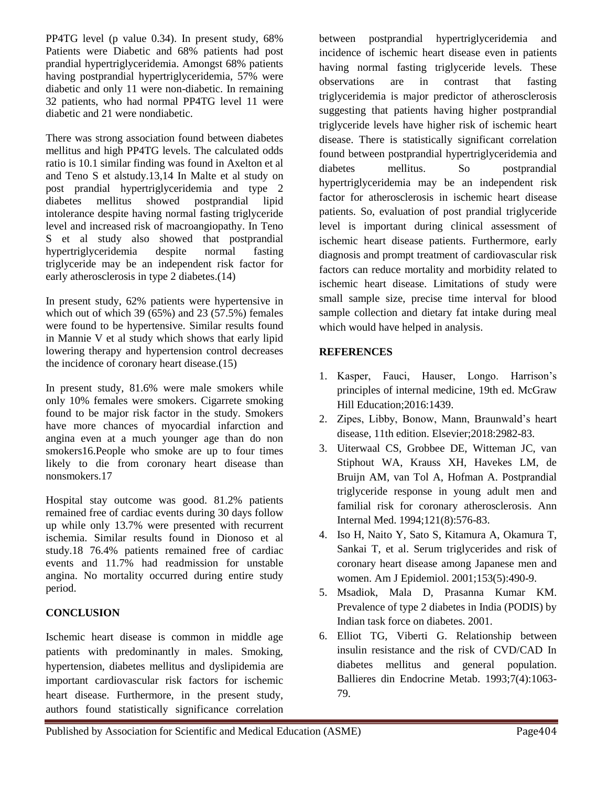PP4TG level (p value 0.34). In present study, 68% Patients were Diabetic and 68% patients had post prandial hypertriglyceridemia. Amongst 68% patients having postprandial hypertriglyceridemia, 57% were diabetic and only 11 were non-diabetic. In remaining 32 patients, who had normal PP4TG level 11 were diabetic and 21 were nondiabetic.

There was strong association found between diabetes mellitus and high PP4TG levels. The calculated odds ratio is 10.1 similar finding was found in Axelton et al and Teno S et alstudy.13,14 In Malte et al study on post prandial hypertriglyceridemia and type 2 diabetes mellitus showed postprandial lipid intolerance despite having normal fasting triglyceride level and increased risk of macroangiopathy. In Teno S et al study also showed that postprandial hypertriglyceridemia despite normal fasting triglyceride may be an independent risk factor for early atherosclerosis in type 2 diabetes.(14)

In present study, 62% patients were hypertensive in which out of which 39 (65%) and 23 (57.5%) females were found to be hypertensive. Similar results found in Mannie V et al study which shows that early lipid lowering therapy and hypertension control decreases the incidence of coronary heart disease.(15)

In present study, 81.6% were male smokers while only 10% females were smokers. Cigarrete smoking found to be major risk factor in the study. Smokers have more chances of myocardial infarction and angina even at a much younger age than do non smokers16.People who smoke are up to four times likely to die from coronary heart disease than nonsmokers.17

Hospital stay outcome was good. 81.2% patients remained free of cardiac events during 30 days follow up while only 13.7% were presented with recurrent ischemia. Similar results found in Dionoso et al study.18 76.4% patients remained free of cardiac events and 11.7% had readmission for unstable angina. No mortality occurred during entire study period.

## **CONCLUSION**

Ischemic heart disease is common in middle age patients with predominantly in males. Smoking, hypertension, diabetes mellitus and dyslipidemia are important cardiovascular risk factors for ischemic heart disease. Furthermore, in the present study, authors found statistically significance correlation

between postprandial hypertriglyceridemia and incidence of ischemic heart disease even in patients having normal fasting triglyceride levels. These observations are in contrast that fasting triglyceridemia is major predictor of atherosclerosis suggesting that patients having higher postprandial triglyceride levels have higher risk of ischemic heart disease. There is statistically significant correlation found between postprandial hypertriglyceridemia and diabetes mellitus. So postprandial hypertriglyceridemia may be an independent risk factor for atherosclerosis in ischemic heart disease patients. So, evaluation of post prandial triglyceride level is important during clinical assessment of ischemic heart disease patients. Furthermore, early diagnosis and prompt treatment of cardiovascular risk factors can reduce mortality and morbidity related to ischemic heart disease. Limitations of study were small sample size, precise time interval for blood sample collection and dietary fat intake during meal which would have helped in analysis.

### **REFERENCES**

- 1. Kasper, Fauci, Hauser, Longo. Harrison's principles of internal medicine, 19th ed. McGraw Hill Education;2016:1439.
- 2. Zipes, Libby, Bonow, Mann, Braunwald's heart disease, 11th edition. Elsevier;2018:2982-83.
- 3. Uiterwaal CS, Grobbee DE, Witteman JC, van Stiphout WA, Krauss XH, Havekes LM, de Bruijn AM, van Tol A, Hofman A. Postprandial triglyceride response in young adult men and familial risk for coronary atherosclerosis. Ann Internal Med. 1994;121(8):576-83.
- 4. Iso H, Naito Y, Sato S, Kitamura A, Okamura T, Sankai T, et al. Serum triglycerides and risk of coronary heart disease among Japanese men and women. Am J Epidemiol. 2001;153(5):490-9.
- 5. Msadiok, Mala D, Prasanna Kumar KM. Prevalence of type 2 diabetes in India (PODIS) by Indian task force on diabetes. 2001.
- 6. Elliot TG, Viberti G. Relationship between insulin resistance and the risk of CVD/CAD In diabetes mellitus and general population. Ballieres din Endocrine Metab. 1993;7(4):1063- 79.